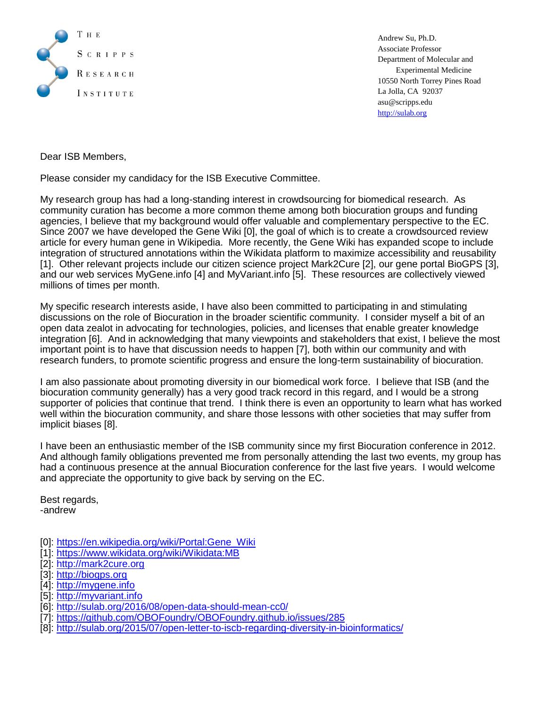

Andrew Su, Ph.D. Associate Professor Department of Molecular and Experimental Medicine 10550 North Torrey Pines Road La Jolla, CA 92037 asu@scripps.edu [http://sulab.org](http://sulab.org/)

Dear ISB Members,

Please consider my candidacy for the ISB Executive Committee.

My research group has had a long-standing interest in crowdsourcing for biomedical research. As community curation has become a more common theme among both biocuration groups and funding agencies, I believe that my background would offer valuable and complementary perspective to the EC. Since 2007 we have developed the Gene Wiki [0], the goal of which is to create a crowdsourced review article for every human gene in Wikipedia. More recently, the Gene Wiki has expanded scope to include integration of structured annotations within the Wikidata platform to maximize accessibility and reusability [1]. Other relevant projects include our citizen science project Mark2Cure [2], our gene portal BioGPS [3], and our web services MyGene.info [4] and MyVariant.info [5]. These resources are collectively viewed millions of times per month.

My specific research interests aside, I have also been committed to participating in and stimulating discussions on the role of Biocuration in the broader scientific community. I consider myself a bit of an open data zealot in advocating for technologies, policies, and licenses that enable greater knowledge integration [6]. And in acknowledging that many viewpoints and stakeholders that exist, I believe the most important point is to have that discussion needs to happen [7], both within our community and with research funders, to promote scientific progress and ensure the long-term sustainability of biocuration.

I am also passionate about promoting diversity in our biomedical work force. I believe that ISB (and the biocuration community generally) has a very good track record in this regard, and I would be a strong supporter of policies that continue that trend. I think there is even an opportunity to learn what has worked well within the biocuration community, and share those lessons with other societies that may suffer from implicit biases [8].

I have been an enthusiastic member of the ISB community since my first Biocuration conference in 2012. And although family obligations prevented me from personally attending the last two events, my group has had a continuous presence at the annual Biocuration conference for the last five years. I would welcome and appreciate the opportunity to give back by serving on the EC.

Best regards, -andrew

- [0]: [https://en.wikipedia.org/wiki/Portal:Gene\\_Wiki](https://en.wikipedia.org/wiki/Portal:Gene_Wiki)
- [1]:<https://www.wikidata.org/wiki/Wikidata:MB>
- [2]: [http://mark2cure.org](http://mark2cure.org/)
- [3]: [http://biogps.org](http://biogps.org/)
- [4]: [http://mygene.info](http://mygene.info/)
- [5]: [http://myvariant.info](http://myvariant.info/)
- [6]:<http://sulab.org/2016/08/open-data-should-mean-cc0/>
- [7]:<https://github.com/OBOFoundry/OBOFoundry.github.io/issues/285>
- [8]:<http://sulab.org/2015/07/open-letter-to-iscb-regarding-diversity-in-bioinformatics/>